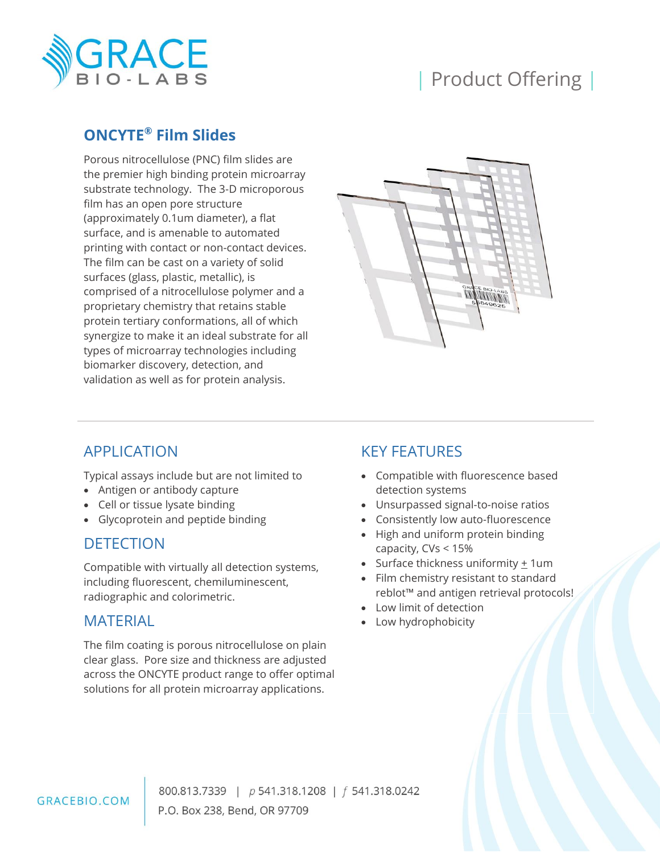

# | Product Offering |

# **ONCYTE® Film Slides**

Porous nitrocellulose (PNC) film slides are the premier high binding protein microarray substrate technology. The 3-D microporous film has an open pore structure (approximately 0.1um diameter), a flat surface, and is amenable to automated printing with contact or non-contact devices. The film can be cast on a variety of solid surfaces (glass, plastic, metallic), is comprised of a nitrocellulose polymer and a proprietary chemistry that retains stable protein tertiary conformations, all of which synergize to make it an ideal substrate for all types of microarray technologies including biomarker discovery, detection, and validation as well as for protein analysis.



# APPLICATION

Typical assays include but are not limited to

- Antigen or antibody capture
- Cell or tissue lysate binding
- Glycoprotein and peptide binding

#### DETECTION

Compatible with virtually all detection systems, including fluorescent, chemiluminescent, radiographic and colorimetric.

#### MATERIAL

The film coating is porous nitrocellulose on plain clear glass. Pore size and thickness are adjusted across the ONCYTE product range to offer optimal solutions for all protein microarray applications.

# KEY FEATURES

- Compatible with fluorescence based detection systems
- Unsurpassed signal-to-noise ratios
- Consistently low auto-fluorescence
- High and uniform protein binding capacity, CVs < 15%
- Surface thickness uniformity  $\pm$  1um
- Film chemistry resistant to standard reblot™ and antigen retrieval protocols!
- Low limit of detection
- Low hydrophobicity

800.813.7339 | p 541.318.1208 | f 541.318.0242 P.O. Box 238, Bend, OR 97709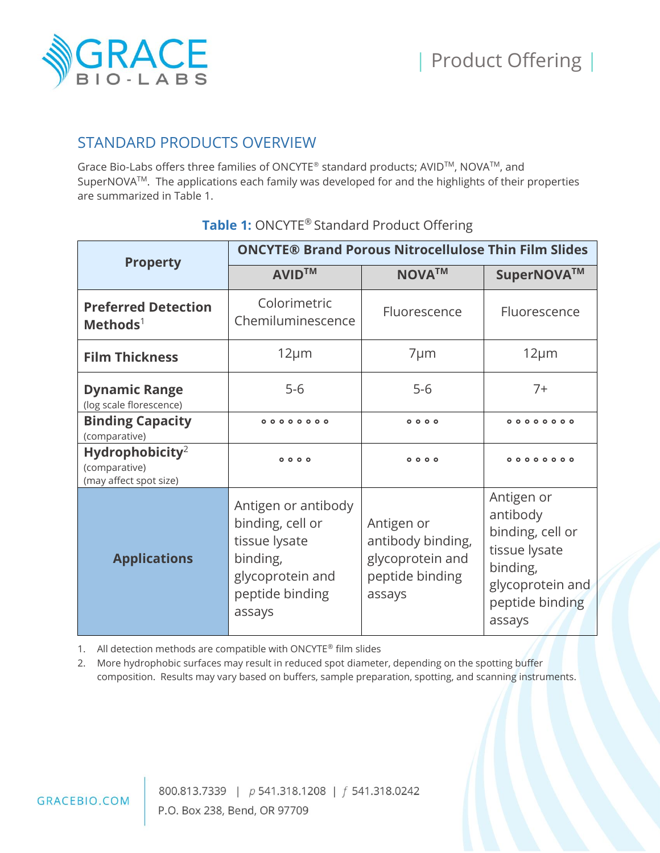

### STANDARD PRODUCTS OVERVIEW

Grace Bio-Labs offers three families of ONCYTE® standard products; AVIDTM, NOVATM, and SuperNOVATM. The applications each family was developed for and the highlights of their properties are summarized in Table 1.

| <b>Property</b>                                                        | <b>ONCYTE® Brand Porous Nitrocellulose Thin Film Slides</b>                                                           |                                                                                  |                                                                                                                          |  |
|------------------------------------------------------------------------|-----------------------------------------------------------------------------------------------------------------------|----------------------------------------------------------------------------------|--------------------------------------------------------------------------------------------------------------------------|--|
|                                                                        | <b>AVIDTM</b>                                                                                                         | <b>NOVATM</b>                                                                    | SuperNOVA™                                                                                                               |  |
| <b>Preferred Detection</b><br>$Methods1$                               | Colorimetric<br>Chemiluminescence                                                                                     | Fluorescence                                                                     | Fluorescence                                                                                                             |  |
| <b>Film Thickness</b>                                                  | $12 \mu m$                                                                                                            | $7 \mu m$                                                                        | $12 \mu m$                                                                                                               |  |
| <b>Dynamic Range</b><br>(log scale florescence)                        | $5-6$<br>$5-6$                                                                                                        |                                                                                  | $7+$                                                                                                                     |  |
| <b>Binding Capacity</b><br>(comparative)                               | $0000$<br>00000000                                                                                                    |                                                                                  | 000000000                                                                                                                |  |
| Hydrophobicity <sup>2</sup><br>(comparative)<br>(may affect spot size) | $0000$                                                                                                                | $0000$                                                                           | $000000000$                                                                                                              |  |
| <b>Applications</b>                                                    | Antigen or antibody<br>binding, cell or<br>tissue lysate<br>binding,<br>glycoprotein and<br>peptide binding<br>assays | Antigen or<br>antibody binding,<br>glycoprotein and<br>peptide binding<br>assays | Antigen or<br>antibody<br>binding, cell or<br>tissue lysate<br>binding,<br>glycoprotein and<br>peptide binding<br>assays |  |

### **Table 1:** ONCYTE® Standard Product Offering

1. All detection methods are compatible with ONCYTE® film slides

2. More hydrophobic surfaces may result in reduced spot diameter, depending on the spotting buffer composition. Results may vary based on buffers, sample preparation, spotting, and scanning instruments.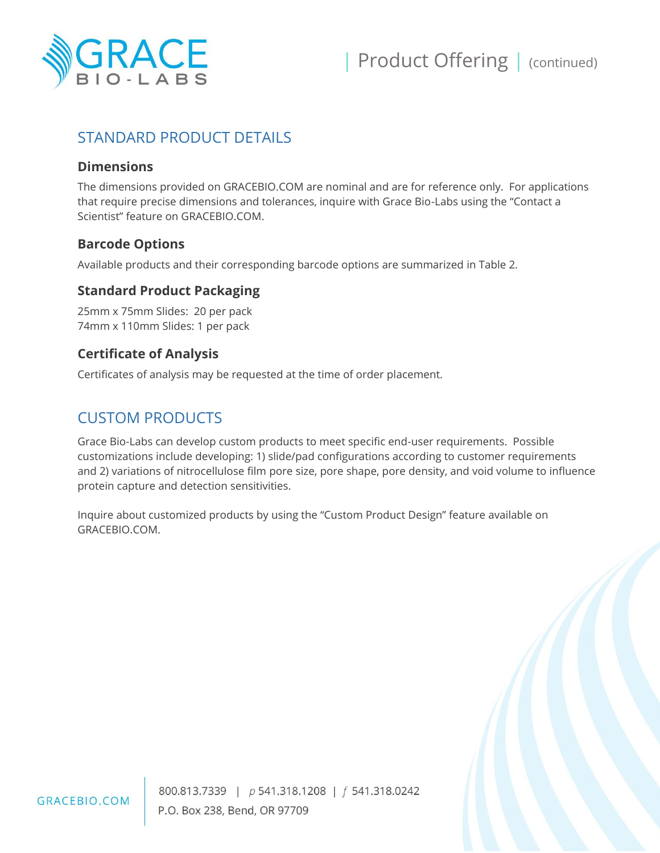

# STANDARD PRODUCT DETAILS

#### **Dimensions**

The dimensions provided on GRACEBIO.COM are nominal and are for reference only. For applications that require precise dimensions and tolerances, inquire with Grace Bio-Labs using the "Contact a Scientist" feature on GRACEBIO.COM.

#### **Barcode Options**

Available products and their corresponding barcode options are summarized in Table 2.

#### **Standard Product Packaging**

25mm x 75mm Slides: 20 per pack 74mm x 110mm Slides: 1 per pack

#### **Certificate of Analysis**

Certificates of analysis may be requested at the time of order placement.

### CUSTOM PRODUCTS

Grace Bio-Labs can develop custom products to meet specific end-user requirements. Possible customizations include developing: 1) slide/pad configurations according to customer requirements and 2) variations of nitrocellulose film pore size, pore shape, pore density, and void volume to influence protein capture and detection sensitivities.

Inquire about customized products by using the "Custom Product Design" feature available on GRACEBIO.COM.



800.813.7339 | p 541.318.1208 | f 541.318.0242 P.O. Box 238, Bend, OR 97709